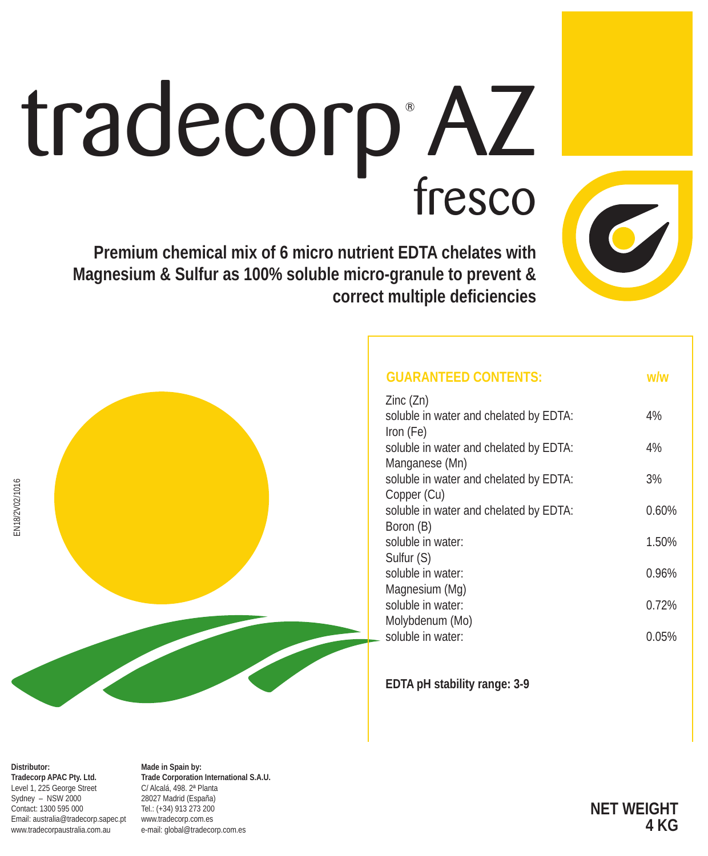# tradecorp<sup>\*</sup>AZ

**Premium chemical mix of 6 micro nutrient EDTA chelates with Magnesium & Sulfur as 100% soluble micro-granule to prevent & correct multiple deficiencies**

| <b>GUARANTEED CONTENTS:</b>            | w/w   |
|----------------------------------------|-------|
| Zinc (Zn)                              |       |
| soluble in water and chelated by EDTA: | 4%    |
| Iron (Fe)                              |       |
| soluble in water and chelated by EDTA: | 4%    |
| Manganese (Mn)                         |       |
| soluble in water and chelated by EDTA: | 3%    |
| Copper (Cu)                            |       |
| soluble in water and chelated by EDTA: | 0.60% |
| Boron (B)                              |       |
| soluble in water:                      | 1.50% |
| Sulfur (S)                             |       |
| soluble in water:                      | 0.96% |
| Magnesium (Mg)                         |       |
| soluble in water:                      | 0.72% |
| Molybdenum (Mo)                        |       |
| soluble in water:                      | 0.05% |
|                                        |       |

**EDTA pH stability range: 3-9**

**Distributor: Tradecorp APAC Pty. Ltd.** Level 1, 225 George Street Sydney – NSW 2000 Contact: 1300 595 000 Email: australia@tradecorp.sapec.pt www.tradecorpaustralia.com.au

**Made in Spain by: Trade Corporation International S.A.U.** C/ Alcalá, 498. 2ª Planta 28027 Madrid (España) Tel.: (+34) 913 273 200 www.tradecorp.com.es e-mail: global@tradecorp.com.es